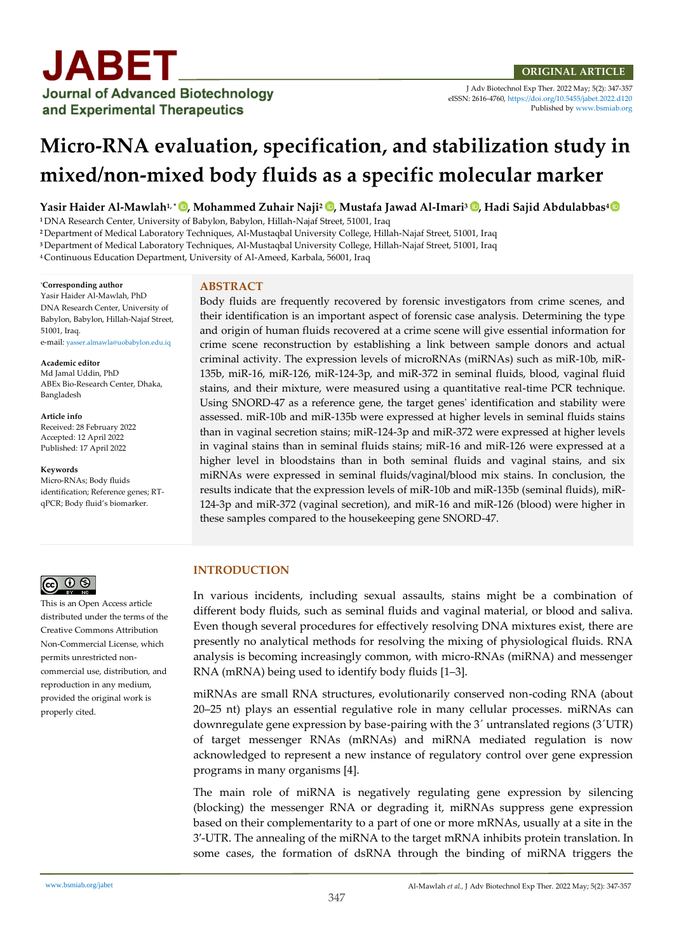

J Adv Biotechnol Exp Ther. 2022 May; 5(2): 347-357 eISSN: 2616-4760[, https://doi.org/10.5455/jabet.2022.d120](https://doi.org/10.5455/jabet.2022.d120)  Published b[y www.bsmiab.org](http://www.bsmiab.org/)

# **Micro-RNA evaluation, specification, and stabilization study in mixed/non-mixed body fluids as a specific molecular marker**

**Yasir Haider Al-Mawlah1, \* [,](https://orcid.org/0000-0002-2453-9567) Mohammed Zuhair Naji<sup>2</sup> , Mustafa Jawad Al-Imari<sup>3</sup> [,](https://orcid.org/0000-0002-7313-7580) Hadi Sajid Abdulabbas<sup>4</sup>**

**<sup>1</sup>** DNA Research Center, University of Babylon, Babylon, Hillah-Najaf Street, 51001, Iraq

**<sup>2</sup>** Department of Medical Laboratory Techniques, Al-Mustaqbal University College, Hillah-Najaf Street, 51001, Iraq

**<sup>3</sup>** Department of Medical Laboratory Techniques, Al-Mustaqbal University College, Hillah-Najaf Street, 51001, Iraq

<sup>4</sup>Continuous Education Department, University of Al-Ameed, Karbala, 56001, Iraq

#### \***Corresponding author**

Yasir Haider Al-Mawlah, PhD DNA Research Center, University of Babylon, Babylon, Hillah-Najaf Street, 51001, Iraq. e-mail: [yasser.almawla@uobabylon.edu.iq](mailto:yasser.almawla@uobabylon.edu.iq)

**Academic editor**  Md Jamal Uddin, PhD ABEx Bio-Research Center, Dhaka, Bangladesh

**Article info**

Received: 28 February 2022 Accepted: 12 April 2022 Published: 17 April 2022

**Keywords**

Micro-RNAs; Body fluids identification; Reference genes; RTqPCR; Body fluid's biomarker.



This is an Open Access article distributed under the terms of the Creative Commons Attribution Non-Commercial License, which permits unrestricted noncommercial use, distribution, and reproduction in any medium, provided the original work is properly cited.

#### **ABSTRACT**

Body fluids are frequently recovered by forensic investigators from crime scenes, and their identification is an important aspect of forensic case analysis. Determining the type and origin of human fluids recovered at a crime scene will give essential information for crime scene reconstruction by establishing a link between sample donors and actual criminal activity. The expression levels of microRNAs (miRNAs) such as miR-10b, miR-135b, miR-16, miR-126, miR-124-3p, and miR-372 in seminal fluids, blood, vaginal fluid stains, and their mixture, were measured using a quantitative real-time PCR technique. Using SNORD-47 as a reference gene, the target genes' identification and stability were assessed. miR-10b and miR-135b were expressed at higher levels in seminal fluids stains than in vaginal secretion stains; miR-124-3p and miR-372 were expressed at higher levels in vaginal stains than in seminal fluids stains; miR-16 and miR-126 were expressed at a higher level in bloodstains than in both seminal fluids and vaginal stains, and six miRNAs were expressed in seminal fluids/vaginal/blood mix stains. In conclusion, the results indicate that the expression levels of miR-10b and miR-135b (seminal fluids), miR-124-3p and miR-372 (vaginal secretion), and miR-16 and miR-126 (blood) were higher in these samples compared to the housekeeping gene SNORD-47.

## **INTRODUCTION**

In various incidents, including sexual assaults, stains might be a combination of different body fluids, such as seminal fluids and vaginal material, or blood and saliva. Even though several procedures for effectively resolving DNA mixtures exist, there are presently no analytical methods for resolving the mixing of physiological fluids. RNA analysis is becoming increasingly common, with micro-RNAs (miRNA) and messenger RNA (mRNA) being used to identify body fluids [1–3].

miRNAs are small RNA structures, evolutionarily conserved non-coding RNA (about 20–25 nt) plays an essential regulative role in many cellular processes. miRNAs can downregulate gene expression by base-pairing with the 3´ untranslated regions (3´UTR) of target messenger RNAs (mRNAs) and miRNA mediated regulation is now acknowledged to represent a new instance of regulatory control over gene expression programs in many organisms [4].

The main role of miRNA is negatively regulating gene expression by silencing (blocking) the messenger RNA or degrading it, miRNAs suppress gene expression based on their complementarity to a part of one or more mRNAs, usually at a site in the 3′-UTR. The annealing of the miRNA to the target mRNA inhibits protein translation. In some cases, the formation of dsRNA through the binding of miRNA triggers the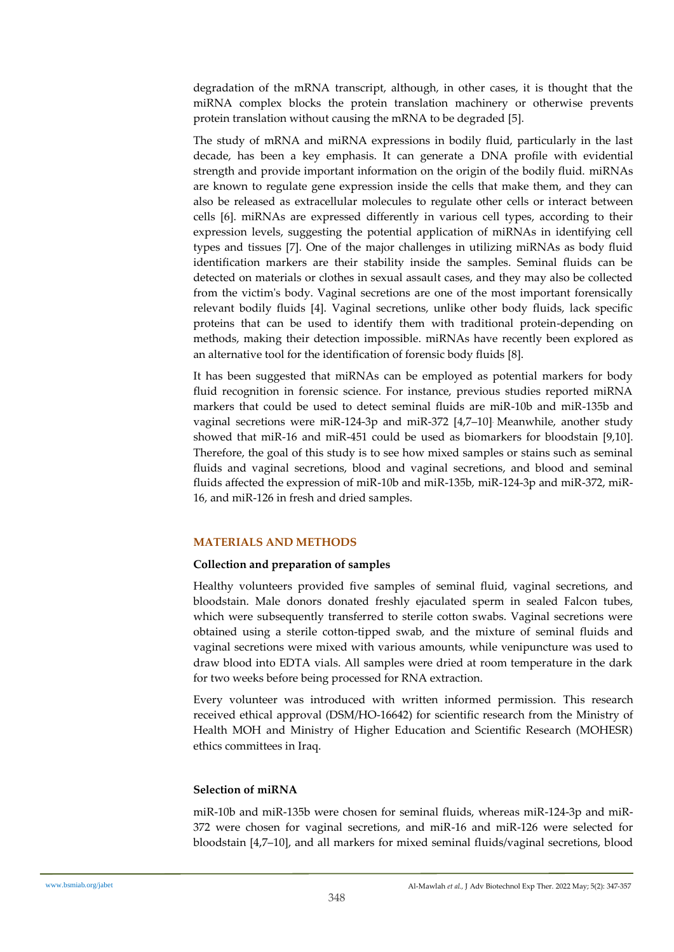degradation of the mRNA transcript, although, in other cases, it is thought that the miRNA complex blocks the protein translation machinery or otherwise prevents protein translation without causing the mRNA to be degraded [5].

The study of mRNA and miRNA expressions in bodily fluid, particularly in the last decade, has been a key emphasis. It can generate a DNA profile with evidential strength and provide important information on the origin of the bodily fluid. miRNAs are known to regulate gene expression inside the cells that make them, and they can also be released as extracellular molecules to regulate other cells or interact between cells [6]. miRNAs are expressed differently in various cell types, according to their expression levels, suggesting the potential application of miRNAs in identifying cell types and tissues [7]. One of the major challenges in utilizing miRNAs as body fluid identification markers are their stability inside the samples. Seminal fluids can be detected on materials or clothes in sexual assault cases, and they may also be collected from the victim's body. Vaginal secretions are one of the most important forensically relevant bodily fluids [4]. Vaginal secretions, unlike other body fluids, lack specific proteins that can be used to identify them with traditional protein-depending on methods, making their detection impossible. miRNAs have recently been explored as an alternative tool for the identification of forensic body fluids [8].

It has been suggested that miRNAs can be employed as potential markers for body fluid recognition in forensic science. For instance, previous studies reported miRNA markers that could be used to detect seminal fluids are miR-10b and miR-135b and vaginal secretions were miR-124-3p and miR-372 [4,7–10]. Meanwhile, another study showed that miR-16 and miR-451 could be used as biomarkers for bloodstain [9,10]. Therefore, the goal of this study is to see how mixed samples or stains such as seminal fluids and vaginal secretions, blood and vaginal secretions, and blood and seminal fluids affected the expression of miR-10b and miR-135b, miR-124-3p and miR-372, miR-16, and miR-126 in fresh and dried samples.

## **MATERIALS AND METHODS**

## **Collection and preparation of samples**

Healthy volunteers provided five samples of seminal fluid, vaginal secretions, and bloodstain. Male donors donated freshly ejaculated sperm in sealed Falcon tubes, which were subsequently transferred to sterile cotton swabs. Vaginal secretions were obtained using a sterile cotton-tipped swab, and the mixture of seminal fluids and vaginal secretions were mixed with various amounts, while venipuncture was used to draw blood into EDTA vials. All samples were dried at room temperature in the dark for two weeks before being processed for RNA extraction.

Every volunteer was introduced with written informed permission. This research received ethical approval (DSM/HO-16642) for scientific research from the Ministry of Health MOH and Ministry of Higher Education and Scientific Research (MOHESR) ethics committees in Iraq.

## **Selection of miRNA**

miR-10b and miR-135b were chosen for seminal fluids, whereas miR-124-3p and miR-372 were chosen for vaginal secretions, and miR-16 and miR-126 were selected for bloodstain [4,7–10], and all markers for mixed seminal fluids/vaginal secretions, blood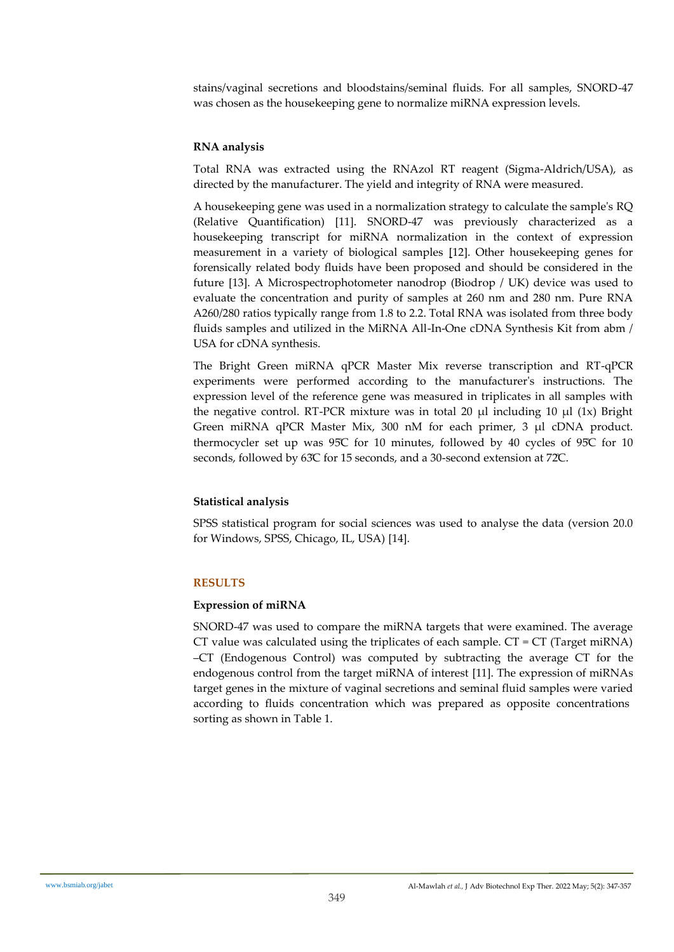stains/vaginal secretions and bloodstains/seminal fluids. For all samples, SNORD-47 was chosen as the housekeeping gene to normalize miRNA expression levels.

## **RNA analysis**

Total RNA was extracted using the RNAzol RT reagent (Sigma-Aldrich/USA), as directed by the manufacturer. The yield and integrity of RNA were measured.

A housekeeping gene was used in a normalization strategy to calculate the sample's RQ (Relative Quantification) [11]. SNORD-47 was previously characterized as a housekeeping transcript for miRNA normalization in the context of expression measurement in a variety of biological samples [12]. Other housekeeping genes for forensically related body fluids have been proposed and should be considered in the future [13]. A Microspectrophotometer nanodrop (Biodrop / UK) device was used to evaluate the concentration and purity of samples at 260 nm and 280 nm. Pure RNA A260/280 ratios typically range from 1.8 to 2.2. Total RNA was isolated from three body fluids samples and utilized in the MiRNA All-In-One cDNA Synthesis Kit from abm / USA for cDNA synthesis.

The Bright Green miRNA qPCR Master Mix reverse transcription and RT-qPCR experiments were performed according to the manufacturer's instructions. The expression level of the reference gene was measured in triplicates in all samples with the negative control. RT-PCR mixture was in total 20  $\mu$ l including 10  $\mu$ l (1x) Bright Green miRNA qPCR Master Mix, 300 nM for each primer, 3 μl cDNA product. thermocycler set up was 95̊C for 10 minutes, followed by 40 cycles of 95̊C for 10 seconds, followed by 63̊C for 15 seconds, and a 30-second extension at 72̊C.

## **Statistical analysis**

SPSS statistical program for social sciences was used to analyse the data (version 20.0 for Windows, SPSS, Chicago, IL, USA) [14].

## **RESULTS**

## **Expression of miRNA**

SNORD-47 was used to compare the miRNA targets that were examined. The average CT value was calculated using the triplicates of each sample.  $CT = CT$  (Target miRNA) –CT (Endogenous Control) was computed by subtracting the average CT for the endogenous control from the target miRNA of interest [11]. The expression of miRNAs target genes in the mixture of vaginal secretions and seminal fluid samples were varied according to fluids concentration which was prepared as opposite concentrations sorting as shown in Table 1.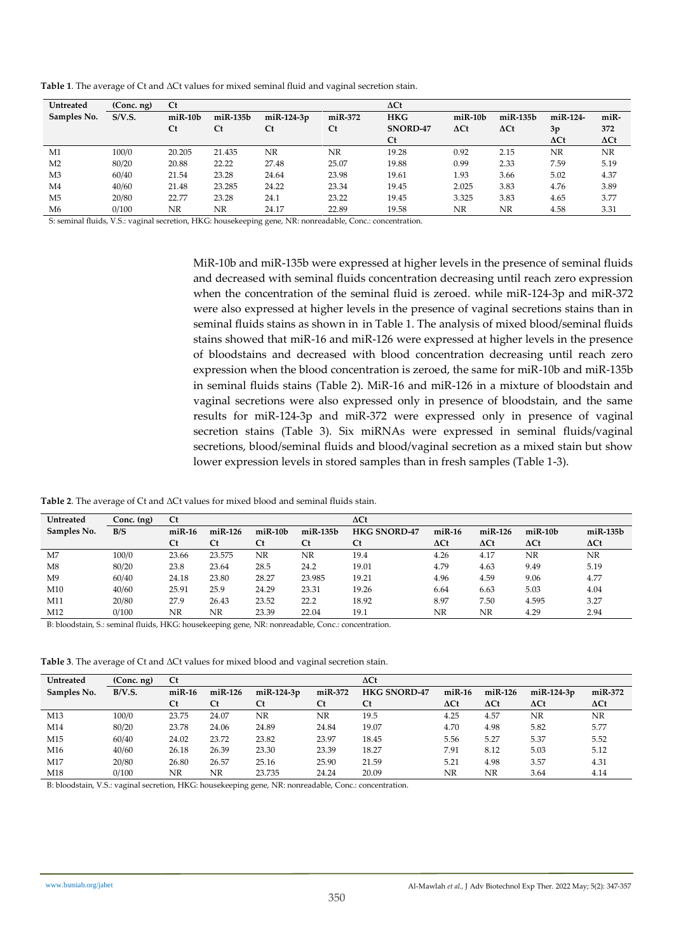| Untreated      | (Conc. ng) | Ct            |                |            |           | $\Delta$ Ct |               |                                |             |             |  |
|----------------|------------|---------------|----------------|------------|-----------|-------------|---------------|--------------------------------|-------------|-------------|--|
| Samples No.    | S/V.S.     | $m$ i $R-10b$ | $m$ i $R-135b$ | miR-124-3p | $miR-372$ | <b>HKG</b>  | $m$ i $R-10b$ | $m$ i $R-135b$                 | miR-124-    | miR-        |  |
|                |            | <b>Ct</b>     | <b>Ct</b>      | <b>Ct</b>  | Ct        | SNORD-47    | $\Delta$ Ct   | $\Delta \mathsf{C} \mathsf{t}$ | 3p          | 372         |  |
|                |            |               |                |            |           | <b>Ct</b>   |               |                                | $\Delta$ Ct | $\Delta$ Ct |  |
| M1             | 100/0      | 20.205        | 21.435         | NR         | NR        | 19.28       | 0.92          | 2.15                           | NR.         | NR          |  |
| M <sub>2</sub> | 80/20      | 20.88         | 22.22          | 27.48      | 25.07     | 19.88       | 0.99          | 2.33                           | 7.59        | 5.19        |  |
| M <sub>3</sub> | 60/40      | 21.54         | 23.28          | 24.64      | 23.98     | 19.61       | 1.93          | 3.66                           | 5.02        | 4.37        |  |
| M4             | 40/60      | 21.48         | 23.285         | 24.22      | 23.34     | 19.45       | 2.025         | 3.83                           | 4.76        | 3.89        |  |
| M <sub>5</sub> | 20/80      | 22.77         | 23.28          | 24.1       | 23.22     | 19.45       | 3.325         | 3.83                           | 4.65        | 3.77        |  |
| M6             | 0/100      | NR            | NR             | 24.17      | 22.89     | 19.58       | NR            | NR                             | 4.58        | 3.31        |  |

**Table 1**. The average of Ct and ΔCt values for mixed seminal fluid and vaginal secretion stain.

S: seminal fluids, V.S.: vaginal secretion, HKG: housekeeping gene, NR: nonreadable, Conc.: concentration.

MiR-10b and miR-135b were expressed at higher levels in the presence of seminal fluids and decreased with seminal fluids concentration decreasing until reach zero expression when the concentration of the seminal fluid is zeroed. while miR-124-3p and miR-372 were also expressed at higher levels in the presence of vaginal secretions stains than in seminal fluids stains as shown in in Table 1. The analysis of mixed blood/seminal fluids stains showed that miR-16 and miR-126 were expressed at higher levels in the presence of bloodstains and decreased with blood concentration decreasing until reach zero expression when the blood concentration is zeroed, the same for miR-10b and miR-135b in seminal fluids stains (Table 2). MiR-16 and miR-126 in a mixture of bloodstain and vaginal secretions were also expressed only in presence of bloodstain, and the same results for miR-124-3p and miR-372 were expressed only in presence of vaginal secretion stains (Table 3). Six miRNAs were expressed in seminal fluids/vaginal secretions, blood/seminal fluids and blood/vaginal secretion as a mixed stain but show lower expression levels in stored samples than in fresh samples (Table 1-3).

**Table 2**. The average of Ct and ΔCt values for mixed blood and seminal fluids stain.

| <b>Untreated</b> | $Conc.$ $(ng)$ | <b>Ct</b> |           |               |                | $\Delta$ Ct         |             |             |               |                |  |
|------------------|----------------|-----------|-----------|---------------|----------------|---------------------|-------------|-------------|---------------|----------------|--|
| Samples No.      | B/S            | $miR-16$  | $miR-126$ | $m$ i $R-10b$ | $m$ i $R-135b$ | <b>HKG SNORD-47</b> | $miR-16$    | $miR-126$   | $m$ i $R-10b$ | $m$ i $R-135b$ |  |
|                  |                | <b>Ct</b> | <b>Ct</b> | <b>Ct</b>     | <b>Ct</b>      | <b>Ct</b>           | $\Delta$ Ct | $\Delta$ Ct | $\Delta$ Ct   | $\Delta$ Ct    |  |
| M7               | 100/0          | 23.66     | 23.575    | NR            | NR.            | 19.4                | 4.26        | 4.17        | NR            | NR             |  |
| M8               | 80/20          | 23.8      | 23.64     | 28.5          | 24.2           | 19.01               | 4.79        | 4.63        | 9.49          | 5.19           |  |
| M9               | 60/40          | 24.18     | 23.80     | 28.27         | 23.985         | 19.21               | 4.96        | 4.59        | 9.06          | 4.77           |  |
| M10              | 40/60          | 25.91     | 25.9      | 24.29         | 23.31          | 19.26               | 6.64        | 6.63        | 5.03          | 4.04           |  |
| M11              | 20/80          | 27.9      | 26.43     | 23.52         | 22.2           | 18.92               | 8.97        | 7.50        | 4.595         | 3.27           |  |
| M12              | 0/100          | NR        | NR        | 23.39         | 22.04          | 19.1                | NR          | NR          | 4.29          | 2.94           |  |

B: bloodstain, S.: seminal fluids, HKG: housekeeping gene, NR: nonreadable, Conc.: concentration.

**Table 3**. The average of Ct and ΔCt values for mixed blood and vaginal secretion stain.

| <b>Untreated</b> | (Conc. ng) | <b>Ct</b>    |           |              |           | $\Delta$ Ct         |             |             |              |             |
|------------------|------------|--------------|-----------|--------------|-----------|---------------------|-------------|-------------|--------------|-------------|
| Samples No.      | B/V.S.     | $m$ i $R-16$ | $miR-126$ | $miR-124-3p$ | miR-372   | <b>HKG SNORD-47</b> | $miR-16$    | $miR-126$   | $miR-124-3p$ | $miR-372$   |
|                  |            | <b>Ct</b>    | <b>Ct</b> | <b>Ct</b>    | <b>Ct</b> | <b>Ct</b>           | $\Delta$ Ct | $\Delta$ Ct | $\Delta$ Ct  | $\Delta$ Ct |
| M13              | 100/0      | 23.75        | 24.07     | NR           | NR        | 19.5                | 4.25        | 4.57        | NR           | NR          |
| M14              | 80/20      | 23.78        | 24.06     | 24.89        | 24.84     | 19.07               | 4.70        | 4.98        | 5.82         | 5.77        |
| M15              | 60/40      | 24.02        | 23.72     | 23.82        | 23.97     | 18.45               | 5.56        | 5.27        | 5.37         | 5.52        |
| M16              | 40/60      | 26.18        | 26.39     | 23.30        | 23.39     | 18.27               | 7.91        | 8.12        | 5.03         | 5.12        |
| M17              | 20/80      | 26.80        | 26.57     | 25.16        | 25.90     | 21.59               | 5.21        | 4.98        | 3.57         | 4.31        |
| M18              | 0/100      | NR           | NR        | 23.735       | 24.24     | 20.09               | NR          | NR          | 3.64         | 4.14        |

B: bloodstain, V.S.: vaginal secretion, HKG: housekeeping gene, NR: nonreadable, Conc.: concentration.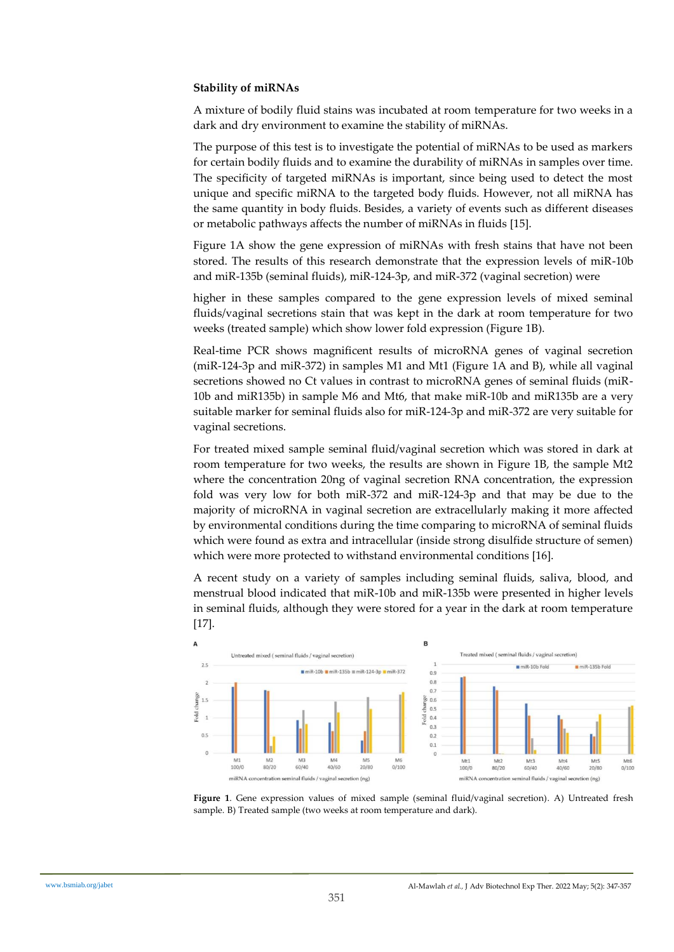#### **Stability of miRNAs**

A mixture of bodily fluid stains was incubated at room temperature for two weeks in a dark and dry environment to examine the stability of miRNAs.

The purpose of this test is to investigate the potential of miRNAs to be used as markers for certain bodily fluids and to examine the durability of miRNAs in samples over time. The specificity of targeted miRNAs is important, since being used to detect the most unique and specific miRNA to the targeted body fluids. However, not all miRNA has the same quantity in body fluids. Besides, a variety of events such as different diseases or metabolic pathways affects the number of miRNAs in fluids [15].

Figure 1A show the gene expression of miRNAs with fresh stains that have not been stored. The results of this research demonstrate that the expression levels of miR-10b and miR-135b (seminal fluids), miR-124-3p, and miR-372 (vaginal secretion) were

higher in these samples compared to the gene expression levels of mixed seminal fluids/vaginal secretions stain that was kept in the dark at room temperature for two weeks (treated sample) which show lower fold expression (Figure 1B).

Real-time PCR shows magnificent results of microRNA genes of vaginal secretion (miR-124-3p and miR-372) in samples M1 and Mt1 (Figure 1A and B), while all vaginal secretions showed no Ct values in contrast to microRNA genes of seminal fluids (miR-10b and miR135b) in sample M6 and Mt6, that make miR-10b and miR135b are a very suitable marker for seminal fluids also for miR-124-3p and miR-372 are very suitable for vaginal secretions.

For treated mixed sample seminal fluid/vaginal secretion which was stored in dark at room temperature for two weeks, the results are shown in Figure 1B, the sample Mt2 where the concentration 20ng of vaginal secretion RNA concentration, the expression fold was very low for both miR-372 and miR-124-3p and that may be due to the majority of microRNA in vaginal secretion are extracellularly making it more affected by environmental conditions during the time comparing to microRNA of seminal fluids which were found as extra and intracellular (inside strong disulfide structure of semen) which were more protected to withstand environmental conditions [16].

A recent study on a variety of samples including seminal fluids, saliva, blood, and menstrual blood indicated that miR-10b and miR-135b were presented in higher levels in seminal fluids, although they were stored for a year in the dark at room temperature [17].



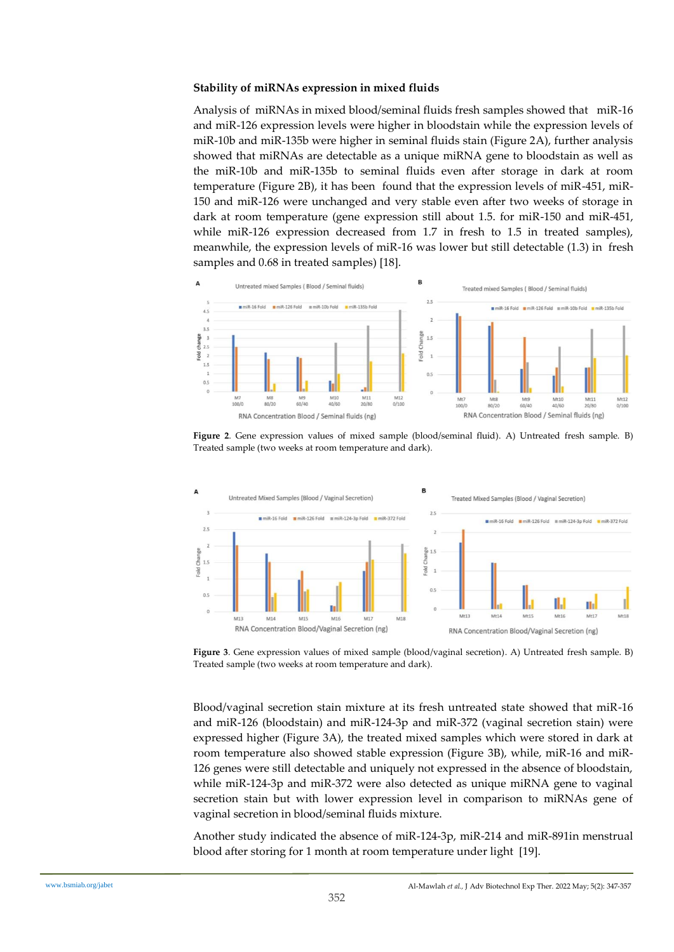#### **Stability of miRNAs expression in mixed fluids**

Analysis of miRNAs in mixed blood/seminal fluids fresh samples showed that miR-16 and miR-126 expression levels were higher in bloodstain while the expression levels of miR-10b and miR-135b were higher in seminal fluids stain (Figure 2A), further analysis showed that miRNAs are detectable as a unique miRNA gene to bloodstain as well as the miR-10b and miR-135b to seminal fluids even after storage in dark at room temperature (Figure 2B), it has been found that the expression levels of miR-451, miR-150 and miR-126 were unchanged and very stable even after two weeks of storage in dark at room temperature (gene expression still about 1.5. for miR-150 and miR-451, while miR-126 expression decreased from 1.7 in fresh to 1.5 in treated samples), meanwhile, the expression levels of miR-16 was lower but still detectable (1.3) in fresh samples and 0.68 in treated samples) [18].



**Figure 2**. Gene expression values of mixed sample (blood/seminal fluid). A) Untreated fresh sample. B) Treated sample (two weeks at room temperature and dark).



**Figure 3**. Gene expression values of mixed sample (blood/vaginal secretion). A) Untreated fresh sample. B) Treated sample (two weeks at room temperature and dark).

Blood/vaginal secretion stain mixture at its fresh untreated state showed that miR-16 and miR-126 (bloodstain) and miR-124-3p and miR-372 (vaginal secretion stain) were expressed higher (Figure 3A), the treated mixed samples which were stored in dark at room temperature also showed stable expression (Figure 3B), while, miR-16 and miR-126 genes were still detectable and uniquely not expressed in the absence of bloodstain, while miR-124-3p and miR-372 were also detected as unique miRNA gene to vaginal secretion stain but with lower expression level in comparison to miRNAs gene of vaginal secretion in blood/seminal fluids mixture.

Another study indicated the absence of miR-124-3p, miR-214 and miR-891in menstrual blood after storing for 1 month at room temperature under light [19].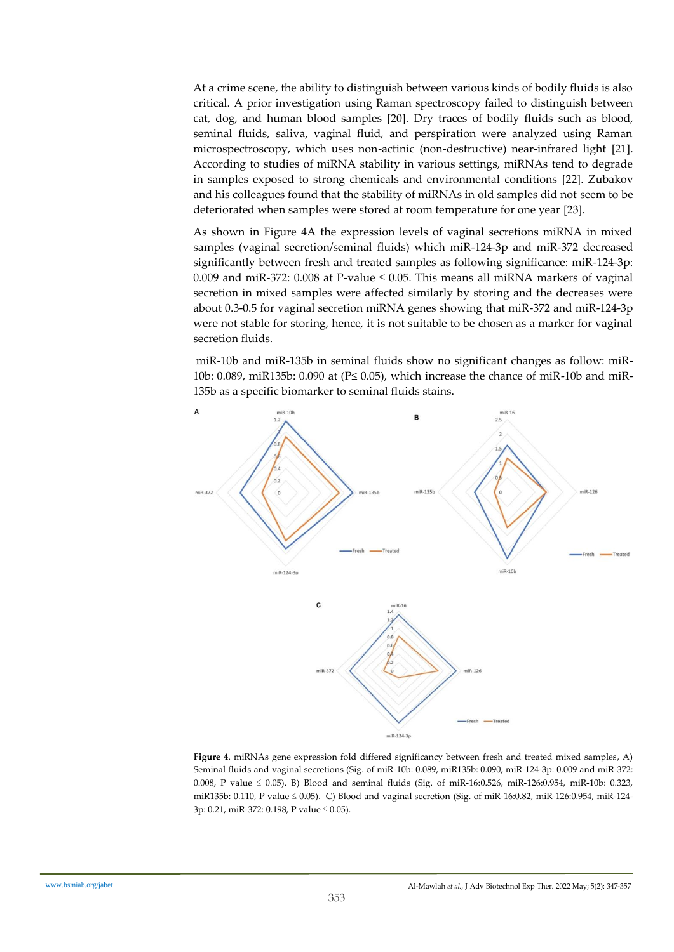At a crime scene, the ability to distinguish between various kinds of bodily fluids is also critical. A prior investigation using Raman spectroscopy failed to distinguish between cat, dog, and human blood samples [20]. Dry traces of bodily fluids such as blood, seminal fluids, saliva, vaginal fluid, and perspiration were analyzed using Raman microspectroscopy, which uses non-actinic (non-destructive) near-infrared light [21]. According to studies of miRNA stability in various settings, miRNAs tend to degrade in samples exposed to strong chemicals and environmental conditions [22]. Zubakov and his colleagues found that the stability of miRNAs in old samples did not seem to be deteriorated when samples were stored at room temperature for one year [23].

As shown in Figure 4A the expression levels of vaginal secretions miRNA in mixed samples (vaginal secretion/seminal fluids) which miR-124-3p and miR-372 decreased significantly between fresh and treated samples as following significance: miR-124-3p: 0.009 and miR-372: 0.008 at P-value  $\leq$  0.05. This means all miRNA markers of vaginal secretion in mixed samples were affected similarly by storing and the decreases were about 0.3-0.5 for vaginal secretion miRNA genes showing that miR-372 and miR-124-3p were not stable for storing, hence, it is not suitable to be chosen as a marker for vaginal secretion fluids.

miR-10b and miR-135b in seminal fluids show no significant changes as follow: miR-10b: 0.089, miR135b: 0.090 at ( $P \le 0.05$ ), which increase the chance of miR-10b and miR-135b as a specific biomarker to seminal fluids stains.



**Figure 4**. miRNAs gene expression fold differed significancy between fresh and treated mixed samples, A) Seminal fluids and vaginal secretions (Sig. of miR-10b: 0.089, miR135b: 0.090, miR-124-3p: 0.009 and miR-372: 0.008, P value ≤ 0.05). B) Blood and seminal fluids (Sig. of miR-16:0.526, miR-126:0.954, miR-10b: 0.323, miR135b: 0.110, P value ≤ 0.05). C) Blood and vaginal secretion (Sig. of miR-16:0.82, miR-126:0.954, miR-124- 3p: 0.21, miR-372: 0.198, P value ≤ 0.05).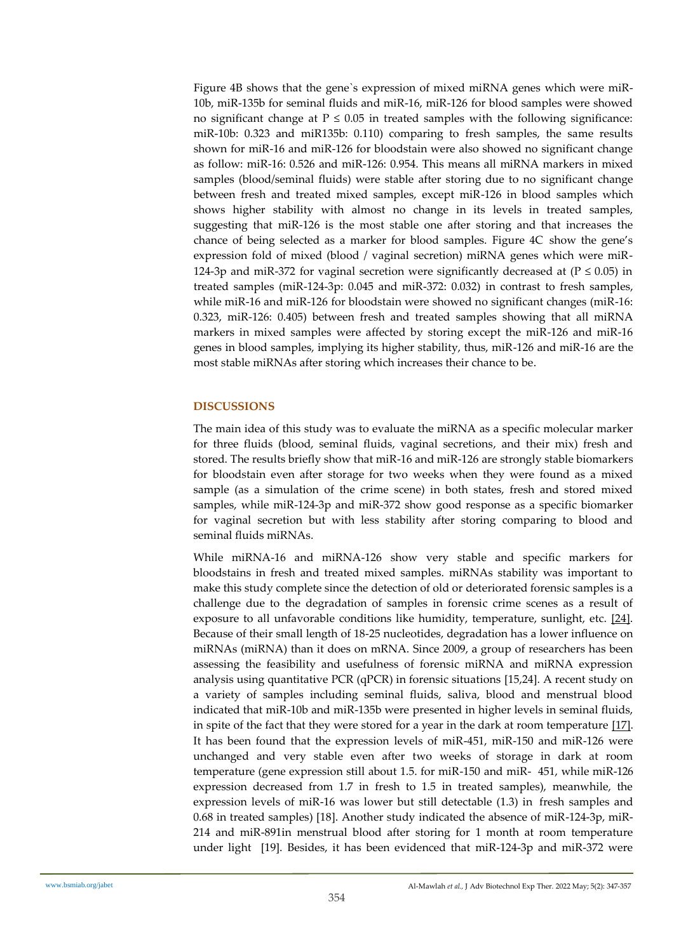Figure 4B shows that the gene`s expression of mixed miRNA genes which were miR-10b, miR-135b for seminal fluids and miR-16, miR-126 for blood samples were showed no significant change at  $P \leq 0.05$  in treated samples with the following significance: miR-10b: 0.323 and miR135b: 0.110) comparing to fresh samples, the same results shown for miR-16 and miR-126 for bloodstain were also showed no significant change as follow: miR-16: 0.526 and miR-126: 0.954. This means all miRNA markers in mixed samples (blood/seminal fluids) were stable after storing due to no significant change between fresh and treated mixed samples, except miR-126 in blood samples which shows higher stability with almost no change in its levels in treated samples, suggesting that miR-126 is the most stable one after storing and that increases the chance of being selected as a marker for blood samples. Figure 4C show the gene's expression fold of mixed (blood / vaginal secretion) miRNA genes which were miR-124-3p and miR-372 for vaginal secretion were significantly decreased at ( $P \le 0.05$ ) in treated samples (miR-124-3p: 0.045 and miR-372: 0.032) in contrast to fresh samples, while miR-16 and miR-126 for bloodstain were showed no significant changes (miR-16: 0.323, miR-126: 0.405) between fresh and treated samples showing that all miRNA markers in mixed samples were affected by storing except the miR-126 and miR-16 genes in blood samples, implying its higher stability, thus, miR-126 and miR-16 are the most stable miRNAs after storing which increases their chance to be.

## **DISCUSSIONS**

The main idea of this study was to evaluate the miRNA as a specific molecular marker for three fluids (blood, seminal fluids, vaginal secretions, and their mix) fresh and stored. The results briefly show that miR-16 and miR-126 are strongly stable biomarkers for bloodstain even after storage for two weeks when they were found as a mixed sample (as a simulation of the crime scene) in both states, fresh and stored mixed samples, while miR-124-3p and miR-372 show good response as a specific biomarker for vaginal secretion but with less stability after storing comparing to blood and seminal fluids miRNAs.

While miRNA-16 and miRNA-126 show very stable and specific markers for bloodstains in fresh and treated mixed samples. miRNAs stability was important to make this study complete since the detection of old or deteriorated forensic samples is a challenge due to the degradation of samples in forensic crime scenes as a result of exposure to all unfavorable conditions like humidity, temperature, sunlight, etc. [24]. Because of their small length of 18-25 nucleotides, degradation has a lower influence on miRNAs (miRNA) than it does on mRNA. Since 2009, a group of researchers has been assessing the feasibility and usefulness of forensic miRNA and miRNA expression analysis using quantitative PCR (qPCR) in forensic situations [15,24]. A recent study on a variety of samples including seminal fluids, saliva, blood and menstrual blood indicated that miR-10b and miR-135b were presented in higher levels in seminal fluids, in spite of the fact that they were stored for a year in the dark at room temperature [17]. It has been found that the expression levels of miR-451, miR-150 and miR-126 were unchanged and very stable even after two weeks of storage in dark at room temperature (gene expression still about 1.5. for miR-150 and miR- 451, while miR-126 expression decreased from 1.7 in fresh to 1.5 in treated samples), meanwhile, the expression levels of miR-16 was lower but still detectable (1.3) in fresh samples and 0.68 in treated samples) [18]. Another study indicated the absence of miR-124-3p, miR-214 and miR-891in menstrual blood after storing for 1 month at room temperature under light [19]. Besides, it has been evidenced that miR-124-3p and miR-372 were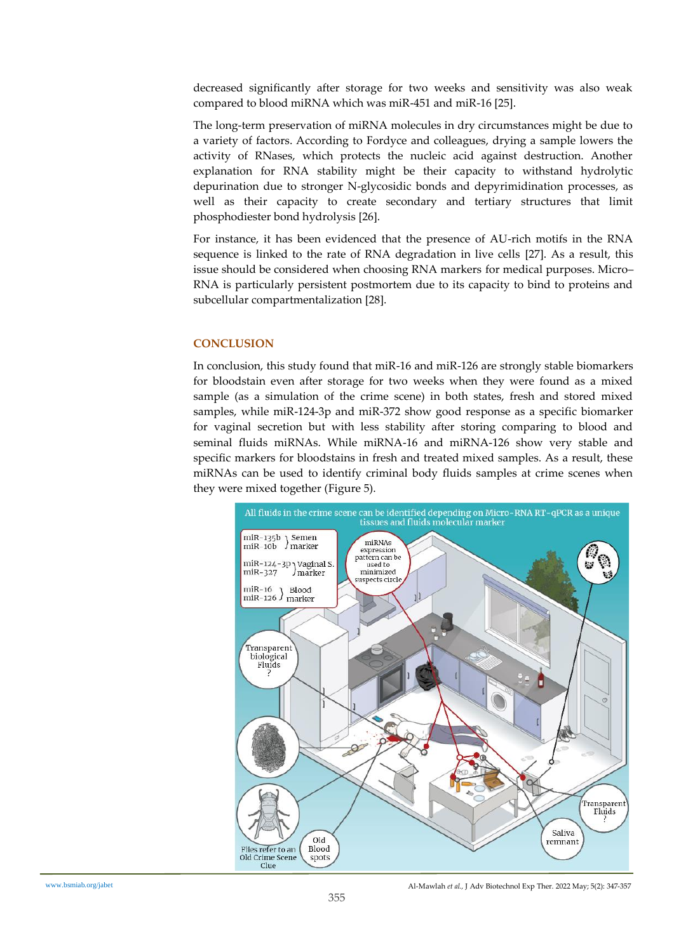decreased significantly after storage for two weeks and sensitivity was also weak compared to blood miRNA which was miR-451 and miR-16 [25].

The long-term preservation of miRNA molecules in dry circumstances might be due to a variety of factors. According to Fordyce and colleagues, drying a sample lowers the activity of RNases, which protects the nucleic acid against destruction. Another explanation for RNA stability might be their capacity to withstand hydrolytic depurination due to stronger N-glycosidic bonds and depyrimidination processes, as well as their capacity to create secondary and tertiary structures that limit phosphodiester bond hydrolysis [26].

For instance, it has been evidenced that the presence of AU-rich motifs in the RNA sequence is linked to the rate of RNA degradation in live cells [27]. As a result, this issue should be considered when choosing RNA markers for medical purposes. Micro– RNA is particularly persistent postmortem due to its capacity to bind to proteins and subcellular compartmentalization [28].

## **CONCLUSION**

In conclusion, this study found that miR-16 and miR-126 are strongly stable biomarkers for bloodstain even after storage for two weeks when they were found as a mixed sample (as a simulation of the crime scene) in both states, fresh and stored mixed samples, while miR-124-3p and miR-372 show good response as a specific biomarker for vaginal secretion but with less stability after storing comparing to blood and seminal fluids miRNAs. While miRNA-16 and miRNA-126 show very stable and specific markers for bloodstains in fresh and treated mixed samples. As a result, these miRNAs can be used to identify criminal body fluids samples at crime scenes when they were mixed together (Figure 5).

![](_page_8_Figure_5.jpeg)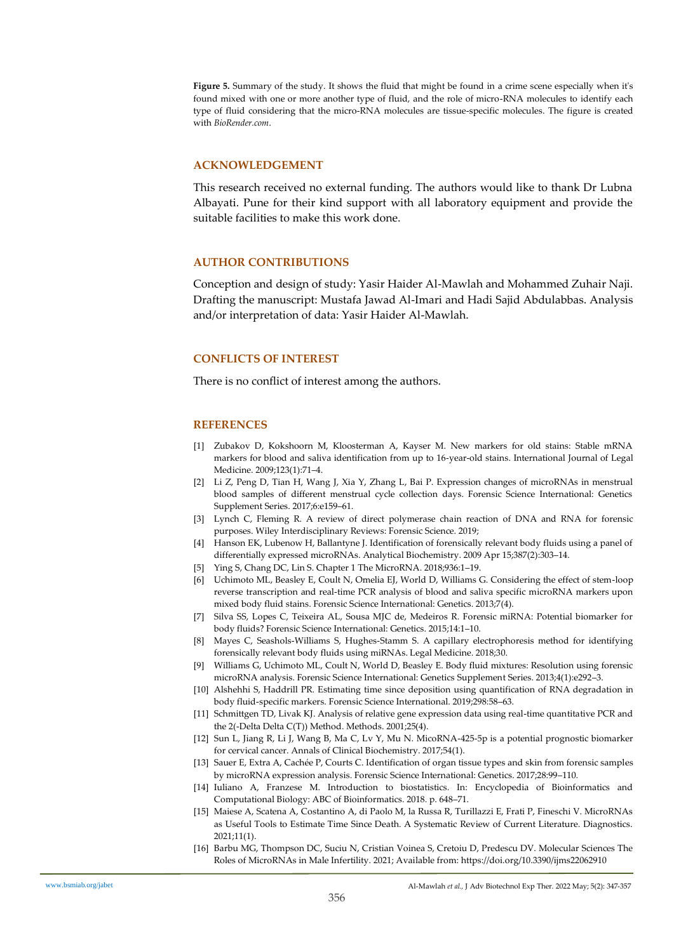**Figure 5.** Summary of the study. It shows the fluid that might be found in a crime scene especially when it's found mixed with one or more another type of fluid, and the role of micro-RNA molecules to identify each type of fluid considering that the micro-RNA molecules are tissue-specific molecules. The figure is created with *BioRender.com*.

#### **ACKNOWLEDGEMENT**

This research received no external funding. The authors would like to thank Dr Lubna Albayati. Pune for their kind support with all laboratory equipment and provide the suitable facilities to make this work done.

#### **AUTHOR CONTRIBUTIONS**

Conception and design of study: Yasir Haider Al-Mawlah and Mohammed Zuhair Naji. Drafting the manuscript: Mustafa Jawad Al-Imari and Hadi Sajid Abdulabbas. Analysis and/or interpretation of data: Yasir Haider Al-Mawlah.

#### **CONFLICTS OF INTEREST**

There is no conflict of interest among the authors.

#### **REFERENCES**

- [1] Zubakov D, Kokshoorn M, Kloosterman A, Kayser M. New markers for old stains: Stable mRNA markers for blood and saliva identification from up to 16-year-old stains. International Journal of Legal Medicine. 2009;123(1):71–4.
- [2] Li Z, Peng D, Tian H, Wang J, Xia Y, Zhang L, Bai P. Expression changes of microRNAs in menstrual blood samples of different menstrual cycle collection days. Forensic Science International: Genetics Supplement Series. 2017;6:e159–61.
- [3] Lynch C, Fleming R. A review of direct polymerase chain reaction of DNA and RNA for forensic purposes. Wiley Interdisciplinary Reviews: Forensic Science. 2019;
- [4] Hanson EK, Lubenow H, Ballantyne J. Identification of forensically relevant body fluids using a panel of differentially expressed microRNAs. Analytical Biochemistry. 2009 Apr 15;387(2):303–14.
- [5] Ying S, Chang DC, Lin S. Chapter 1 The MicroRNA. 2018;936:1–19.
- [6] Uchimoto ML, Beasley E, Coult N, Omelia EJ, World D, Williams G. Considering the effect of stem-loop reverse transcription and real-time PCR analysis of blood and saliva specific microRNA markers upon mixed body fluid stains. Forensic Science International: Genetics. 2013;7(4).
- [7] Silva SS, Lopes C, Teixeira AL, Sousa MJC de, Medeiros R. Forensic miRNA: Potential biomarker for body fluids? Forensic Science International: Genetics. 2015;14:1–10.
- [8] Mayes C, Seashols-Williams S, Hughes-Stamm S. A capillary electrophoresis method for identifying forensically relevant body fluids using miRNAs. Legal Medicine. 2018;30.
- [9] Williams G, Uchimoto ML, Coult N, World D, Beasley E. Body fluid mixtures: Resolution using forensic microRNA analysis. Forensic Science International: Genetics Supplement Series. 2013;4(1):e292–3.
- [10] Alshehhi S, Haddrill PR. Estimating time since deposition using quantification of RNA degradation in body fluid-specific markers. Forensic Science International. 2019;298:58–63.
- [11] Schmittgen TD, Livak KJ. Analysis of relative gene expression data using real-time quantitative PCR and the 2(-Delta Delta C(T)) Method. Methods. 2001;25(4).
- [12] Sun L, Jiang R, Li J, Wang B, Ma C, Lv Y, Mu N. MicoRNA-425-5p is a potential prognostic biomarker for cervical cancer. Annals of Clinical Biochemistry. 2017;54(1).
- [13] Sauer E, Extra A, Cachée P, Courts C. Identification of organ tissue types and skin from forensic samples by microRNA expression analysis. Forensic Science International: Genetics. 2017;28:99–110.
- [14] Iuliano A, Franzese M. Introduction to biostatistics. In: Encyclopedia of Bioinformatics and Computational Biology: ABC of Bioinformatics. 2018. p. 648–71.
- [15] Maiese A, Scatena A, Costantino A, di Paolo M, la Russa R, Turillazzi E, Frati P, Fineschi V. MicroRNAs as Useful Tools to Estimate Time Since Death. A Systematic Review of Current Literature. Diagnostics. 2021;11(1).
- [16] Barbu MG, Thompson DC, Suciu N, Cristian Voinea S, Cretoiu D, Predescu DV. Molecular Sciences The Roles of MicroRNAs in Male Infertility. 2021; Available from: https://doi.org/10.3390/ijms22062910